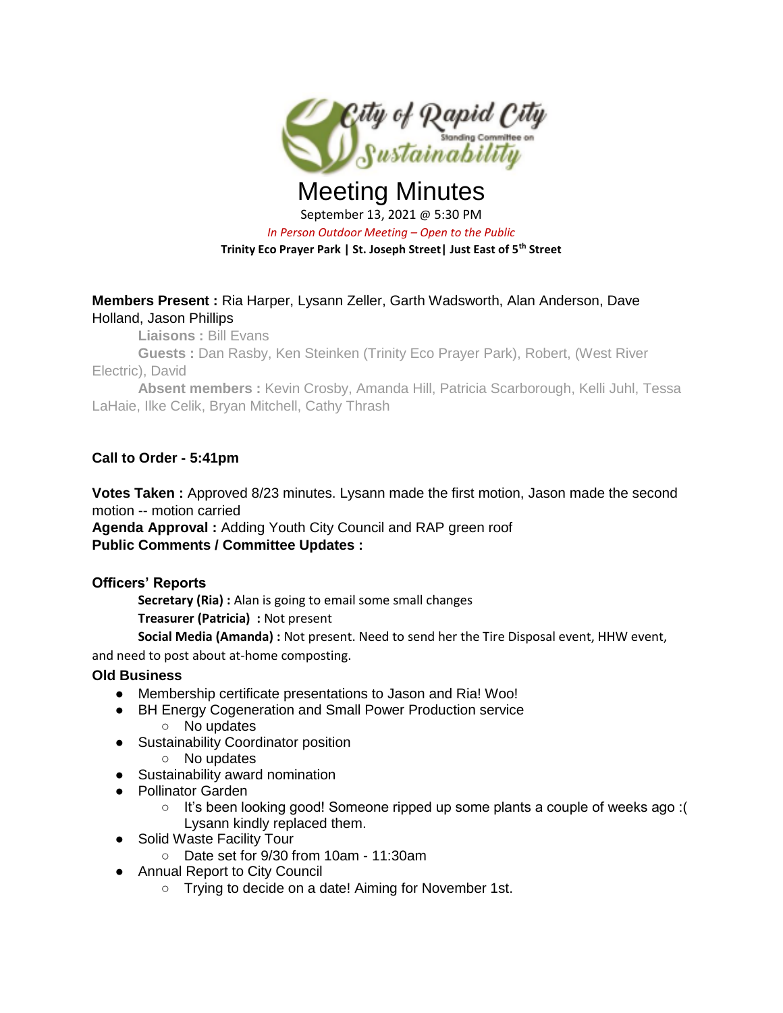

# Meeting Minutes September 13, 2021 @ 5:30 PM *In Person Outdoor Meeting – Open to the Public* **Trinity Eco Prayer Park | St. Joseph Street| Just East of 5th Street**

### **Members Present :** Ria Harper, Lysann Zeller, Garth Wadsworth, Alan Anderson, Dave Holland, Jason Phillips

**Liaisons :** Bill Evans

**Guests :** Dan Rasby, Ken Steinken (Trinity Eco Prayer Park), Robert, (West River Electric), David

**Absent members :** Kevin Crosby, Amanda Hill, Patricia Scarborough, Kelli Juhl, Tessa LaHaie, Ilke Celik, Bryan Mitchell, Cathy Thrash

## **Call to Order - 5:41pm**

**Votes Taken**: Approved 8/23 minutes. Lysann made the first motion, Jason made the second motion -- motion carried

**Agenda Approval :** Adding Youth City Council and RAP green roof **Public Comments / Committee Updates :** 

#### **Officers' Reports**

**Secretary (Ria) :** Alan is going to email some small changes

**Treasurer (Patricia) :** Not present

**Social Media (Amanda) :** Not present. Need to send her the Tire Disposal event, HHW event, and need to post about at-home composting.

#### **Old Business**

- Membership certificate presentations to Jason and Ria! Woo!
- BH Energy Cogeneration and Small Power Production service
	- No updates
- Sustainability Coordinator position
- No updates
- Sustainability award nomination
- Pollinator Garden
	- It's been looking good! Someone ripped up some plants a couple of weeks ago :( Lysann kindly replaced them.
- Solid Waste Facility Tour
	- Date set for 9/30 from 10am 11:30am
- Annual Report to City Council
	- Trying to decide on a date! Aiming for November 1st.